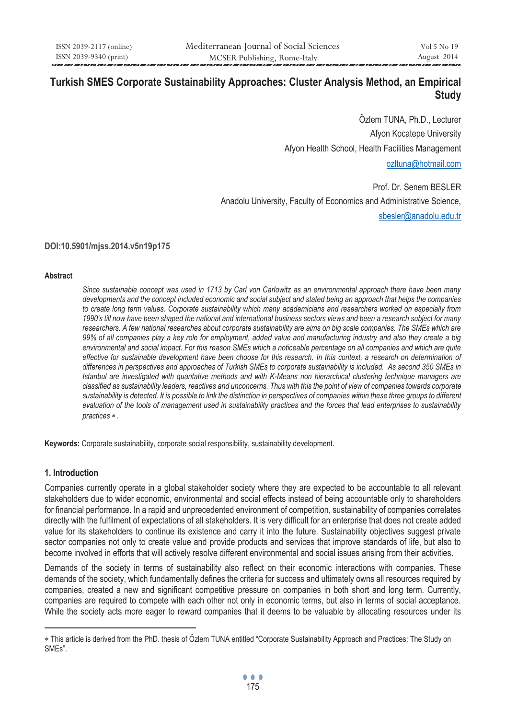# **Turkish SMES Corporate Sustainability Approaches: Cluster Analysis Method, an Empirical Study**

Özlem TUNA, Ph.D., Lecturer Afyon Kocatepe University Afyon Health School, Health Facilities Management ozltuna@hotmail.com

Prof. Dr. Senem BESLER Anadolu University, Faculty of Economics and Administrative Science,

sbesler@anadolu.edu.tr

### **DOI:10.5901/mjss.2014.v5n19p175**

#### **Abstract**

*Since sustainable concept was used in 1713 by Carl von Carlowitz as an environmental approach there have been many developments and the concept included economic and social subject and stated being an approach that helps the companies to create long term values. Corporate sustainability which many academicians and researchers worked on especially from 1990's till now have been shaped the national and international business sectors views and been a research subject for many researchers. A few national researches about corporate sustainability are aims on big scale companies. The SMEs which are 99% of all companies play a key role for employment, added value and manufacturing industry and also they create a big environmental and social impact. For this reason SMEs which a noticeable percentage on all companies and which are quite effective for sustainable development have been choose for this research. In this context, a research on determination of* differences in perspectives and approaches of Turkish SMEs to corporate sustainability is included. As second 350 SMEs in *Istanbul are investigated with quantative methods and with K-Means non hierarchical clustering technique managers are classified as sustainability leaders, reactives and unconcerns. Thus with this the point of view of companies towards corporate sustainability is detected. It is possible to link the distinction in perspectives of companies within these three groups to different*  evaluation of the tools of management used in sustainability practices and the forces that lead enterprises to sustainability *practices*  $*$ .

**Keywords:** Corporate sustainability, corporate social responsibility, sustainability development.

#### **1. Introduction**

 $\overline{a}$ 

Companies currently operate in a global stakeholder society where they are expected to be accountable to all relevant stakeholders due to wider economic, environmental and social effects instead of being accountable only to shareholders for financial performance. In a rapid and unprecedented environment of competition, sustainability of companies correlates directly with the fulfilment of expectations of all stakeholders. It is very difficult for an enterprise that does not create added value for its stakeholders to continue its existence and carry it into the future. Sustainability objectives suggest private sector companies not only to create value and provide products and services that improve standards of life, but also to become involved in efforts that will actively resolve different environmental and social issues arising from their activities.

Demands of the society in terms of sustainability also reflect on their economic interactions with companies. These demands of the society, which fundamentally defines the criteria for success and ultimately owns all resources required by companies, created a new and significant competitive pressure on companies in both short and long term. Currently, companies are required to compete with each other not only in economic terms, but also in terms of social acceptance. While the society acts more eager to reward companies that it deems to be valuable by allocating resources under its

 This article is derived from the PhD. thesis of Özlem TUNA entitled "Corporate Sustainability Approach and Practices: The Study on SMEs".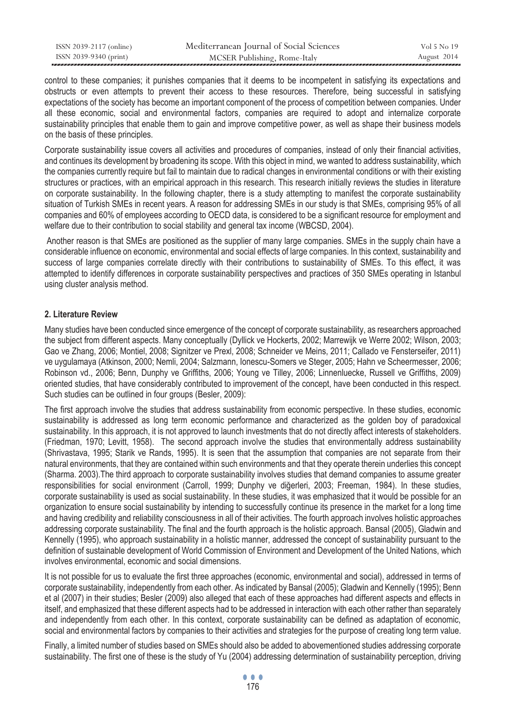| ISSN 2039-2117 (online) | Mediterranean Journal of Social Sciences | Vol 5 No 19 |
|-------------------------|------------------------------------------|-------------|
| ISSN 2039-9340 (print)  | MCSER Publishing, Rome-Italy             | August 2014 |

control to these companies; it punishes companies that it deems to be incompetent in satisfying its expectations and obstructs or even attempts to prevent their access to these resources. Therefore, being successful in satisfying expectations of the society has become an important component of the process of competition between companies. Under all these economic, social and environmental factors, companies are required to adopt and internalize corporate sustainability principles that enable them to gain and improve competitive power, as well as shape their business models on the basis of these principles.

Corporate sustainability issue covers all activities and procedures of companies, instead of only their financial activities, and continues its development by broadening its scope. With this object in mind, we wanted to address sustainability, which the companies currently require but fail to maintain due to radical changes in environmental conditions or with their existing structures or practices, with an empirical approach in this research. This research initially reviews the studies in literature on corporate sustainability. In the following chapter, there is a study attempting to manifest the corporate sustainability situation of Turkish SMEs in recent years. A reason for addressing SMEs in our study is that SMEs, comprising 95% of all companies and 60% of employees according to OECD data, is considered to be a significant resource for employment and welfare due to their contribution to social stability and general tax income (WBCSD, 2004).

 Another reason is that SMEs are positioned as the supplier of many large companies. SMEs in the supply chain have a considerable influence on economic, environmental and social effects of large companies. In this context, sustainability and success of large companies correlate directly with their contributions to sustainability of SMEs. To this effect, it was attempted to identify differences in corporate sustainability perspectives and practices of 350 SMEs operating in Istanbul using cluster analysis method.

### **2. Literature Review**

Many studies have been conducted since emergence of the concept of corporate sustainability, as researchers approached the subject from different aspects. Many conceptually (Dyllick ve Hockerts, 2002; Marrewijk ve Werre 2002; Wilson, 2003; Gao ve Zhang, 2006; Montiel, 2008; Signitzer ve Prexl, 2008; Schneider ve Meins, 2011; Callado ve Fensterseifer, 2011) ve uygulamaya (Atkinson, 2000; Nemli, 2004; Salzmann, Ionescu-Somers ve Steger, 2005; Hahn ve Scheermesser, 2006; Robinson vd., 2006; Benn, Dunphy ve Griffiths, 2006; Young ve Tilley, 2006; Linnenluecke, Russell ve Griffiths, 2009) oriented studies, that have considerably contributed to improvement of the concept, have been conducted in this respect. Such studies can be outlined in four groups (Besler, 2009):

The first approach involve the studies that address sustainability from economic perspective. In these studies, economic sustainability is addressed as long term economic performance and characterized as the golden boy of paradoxical sustainability. In this approach, it is not approved to launch investments that do not directly affect interests of stakeholders. (Friedman, 1970; Levitt, 1958). The second approach involve the studies that environmentally address sustainability (Shrivastava, 1995; Starik ve Rands, 1995). It is seen that the assumption that companies are not separate from their natural environments, that they are contained within such environments and that they operate therein underlies this concept (Sharma. 2003).The third approach to corporate sustainability involves studies that demand companies to assume greater responsibilities for social environment (Carroll, 1999; Dunphy ve diğerleri, 2003; Freeman, 1984). In these studies, corporate sustainability is used as social sustainability. In these studies, it was emphasized that it would be possible for an organization to ensure social sustainability by intending to successfully continue its presence in the market for a long time and having credibility and reliability consciousness in all of their activities. The fourth approach involves holistic approaches addressing corporate sustainability. The final and the fourth approach is the holistic approach. Bansal (2005), Gladwin and Kennelly (1995), who approach sustainability in a holistic manner, addressed the concept of sustainability pursuant to the definition of sustainable development of World Commission of Environment and Development of the United Nations, which involves environmental, economic and social dimensions.

It is not possible for us to evaluate the first three approaches (economic, environmental and social), addressed in terms of corporate sustainability, independently from each other. As indicated by Bansal (2005); Gladwin and Kennelly (1995); Benn et al (2007) in their studies; Besler (2009) also alleged that each of these approaches had different aspects and effects in itself, and emphasized that these different aspects had to be addressed in interaction with each other rather than separately and independently from each other. In this context, corporate sustainability can be defined as adaptation of economic, social and environmental factors by companies to their activities and strategies for the purpose of creating long term value.

Finally, a limited number of studies based on SMEs should also be added to abovementioned studies addressing corporate sustainability. The first one of these is the study of Yu (2004) addressing determination of sustainability perception, driving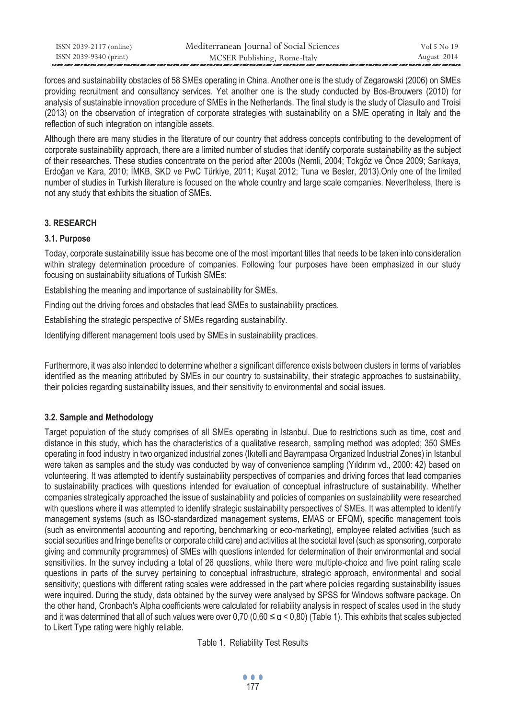| ISSN 2039-2117 (online) | Mediterranean Journal of Social Sciences | Vol 5 No 19 |
|-------------------------|------------------------------------------|-------------|
| ISSN 2039-9340 (print)  | MCSER Publishing, Rome-Italy             | August 2014 |

forces and sustainability obstacles of 58 SMEs operating in China. Another one is the study of Zegarowski (2006) on SMEs providing recruitment and consultancy services. Yet another one is the study conducted by Bos-Brouwers (2010) for analysis of sustainable innovation procedure of SMEs in the Netherlands. The final study is the study of Ciasullo and Troisi (2013) on the observation of integration of corporate strategies with sustainability on a SME operating in Italy and the reflection of such integration on intangible assets.

Although there are many studies in the literature of our country that address concepts contributing to the development of corporate sustainability approach, there are a limited number of studies that identify corporate sustainability as the subject of their researches. These studies concentrate on the period after 2000s (Nemli, 2004; Tokgöz ve Önce 2009; Sarıkaya, Erdoğan ve Kara, 2010; İMKB, SKD ve PwC Türkiye, 2011; Kuşat 2012; Tuna ve Besler, 2013).Only one of the limited number of studies in Turkish literature is focused on the whole country and large scale companies. Nevertheless, there is not any study that exhibits the situation of SMEs.

## **3. RESEARCH**

### **3.1. Purpose**

Today, corporate sustainability issue has become one of the most important titles that needs to be taken into consideration within strategy determination procedure of companies. Following four purposes have been emphasized in our study focusing on sustainability situations of Turkish SMEs:

Establishing the meaning and importance of sustainability for SMEs.

Finding out the driving forces and obstacles that lead SMEs to sustainability practices.

Establishing the strategic perspective of SMEs regarding sustainability.

Identifying different management tools used by SMEs in sustainability practices.

Furthermore, it was also intended to determine whether a significant difference exists between clusters in terms of variables identified as the meaning attributed by SMEs in our country to sustainability, their strategic approaches to sustainability, their policies regarding sustainability issues, and their sensitivity to environmental and social issues.

## **3.2. Sample and Methodology**

Target population of the study comprises of all SMEs operating in Istanbul. Due to restrictions such as time, cost and distance in this study, which has the characteristics of a qualitative research, sampling method was adopted; 350 SMEs operating in food industry in two organized industrial zones (Ikıtelli and Bayrampasa Organized Industrial Zones) in Istanbul were taken as samples and the study was conducted by way of convenience sampling (Yıldırım vd., 2000: 42) based on volunteering. It was attempted to identify sustainability perspectives of companies and driving forces that lead companies to sustainability practices with questions intended for evaluation of conceptual infrastructure of sustainability. Whether companies strategically approached the issue of sustainability and policies of companies on sustainability were researched with questions where it was attempted to identify strategic sustainability perspectives of SMEs. It was attempted to identify management systems (such as ISO-standardized management systems, EMAS or EFQM), specific management tools (such as environmental accounting and reporting, benchmarking or eco-marketing), employee related activities (such as social securities and fringe benefits or corporate child care) and activities at the societal level (such as sponsoring, corporate giving and community programmes) of SMEs with questions intended for determination of their environmental and social sensitivities. In the survey including a total of 26 questions, while there were multiple-choice and five point rating scale questions in parts of the survey pertaining to conceptual infrastructure, strategic approach, environmental and social sensitivity; questions with different rating scales were addressed in the part where policies regarding sustainability issues were inquired. During the study, data obtained by the survey were analysed by SPSS for Windows software package. On the other hand, Cronbach's Alpha coefficients were calculated for reliability analysis in respect of scales used in the study and it was determined that all of such values were over  $0.70$  ( $0.60 \le \alpha < 0.80$ ) (Table 1). This exhibits that scales subjected to Likert Type rating were highly reliable.

Table 1. Reliability Test Results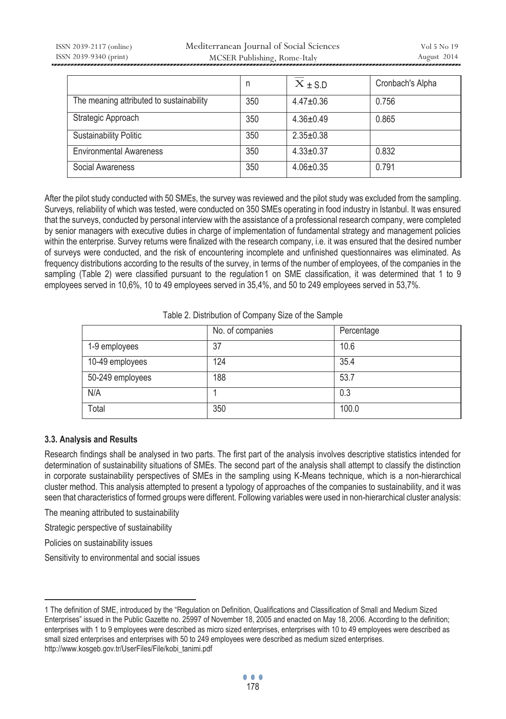Mediterranean Journal of Social Sciences MCSER Publishing, Rome-Italy

|                                          | n   | $X \pm S.D$     | Cronbach's Alpha |
|------------------------------------------|-----|-----------------|------------------|
| The meaning attributed to sustainability | 350 | $4.47 \pm 0.36$ | 0.756            |
| Strategic Approach                       | 350 | $4.36 \pm 0.49$ | 0.865            |
| <b>Sustainability Politic</b>            | 350 | $2.35 + 0.38$   |                  |
| <b>Environmental Awareness</b>           | 350 | $4.33 \pm 0.37$ | 0.832            |
| Social Awareness                         | 350 | $4.06 \pm 0.35$ | 0.791            |

After the pilot study conducted with 50 SMEs, the survey was reviewed and the pilot study was excluded from the sampling. Surveys, reliability of which was tested, were conducted on 350 SMEs operating in food industry in Istanbul. It was ensured that the surveys, conducted by personal interview with the assistance of a professional research company, were completed by senior managers with executive duties in charge of implementation of fundamental strategy and management policies within the enterprise. Survey returns were finalized with the research company, i.e. it was ensured that the desired number of surveys were conducted, and the risk of encountering incomplete and unfinished questionnaires was eliminated. As frequency distributions according to the results of the survey, in terms of the number of employees, of the companies in the sampling (Table 2) were classified pursuant to the regulation1 on SME classification, it was determined that 1 to 9 employees served in 10,6%, 10 to 49 employees served in 35,4%, and 50 to 249 employees served in 53,7%.

| .                |                  |            |  |  |
|------------------|------------------|------------|--|--|
|                  | No. of companies | Percentage |  |  |
| 1-9 employees    | 37               | 10.6       |  |  |
| 10-49 employees  | 124              | 35.4       |  |  |
| 50-249 employees | 188              | 53.7       |  |  |
| N/A              |                  | 0.3        |  |  |
| Total            | 350              | 100.0      |  |  |

#### Table 2. Distribution of Company Size of the Sample

#### **3.3. Analysis and Results**

Research findings shall be analysed in two parts. The first part of the analysis involves descriptive statistics intended for determination of sustainability situations of SMEs. The second part of the analysis shall attempt to classify the distinction in corporate sustainability perspectives of SMEs in the sampling using K-Means technique, which is a non-hierarchical cluster method. This analysis attempted to present a typology of approaches of the companies to sustainability, and it was seen that characteristics of formed groups were different. Following variables were used in non-hierarchical cluster analysis:

The meaning attributed to sustainability

Strategic perspective of sustainability

Policies on sustainability issues

 $\overline{a}$ 

Sensitivity to environmental and social issues

<sup>1</sup> The definition of SME, introduced by the "Regulation on Definition, Qualifications and Classification of Small and Medium Sized Enterprises" issued in the Public Gazette no. 25997 of November 18, 2005 and enacted on May 18, 2006. According to the definition; enterprises with 1 to 9 employees were described as micro sized enterprises, enterprises with 10 to 49 employees were described as small sized enterprises and enterprises with 50 to 249 employees were described as medium sized enterprises. http://www.kosgeb.gov.tr/UserFiles/File/kobi\_tanimi.pdf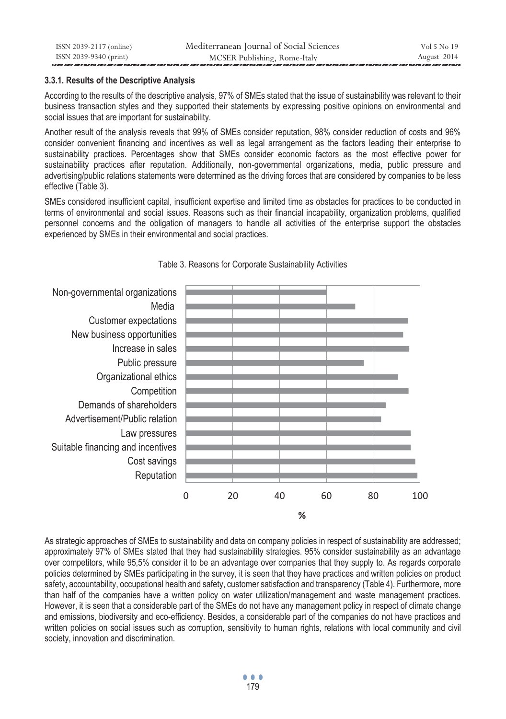## **3.3.1. Results of the Descriptive Analysis**

According to the results of the descriptive analysis, 97% of SMEs stated that the issue of sustainability was relevant to their business transaction styles and they supported their statements by expressing positive opinions on environmental and social issues that are important for sustainability.

Another result of the analysis reveals that 99% of SMEs consider reputation, 98% consider reduction of costs and 96% consider convenient financing and incentives as well as legal arrangement as the factors leading their enterprise to sustainability practices. Percentages show that SMEs consider economic factors as the most effective power for sustainability practices after reputation. Additionally, non-governmental organizations, media, public pressure and advertising/public relations statements were determined as the driving forces that are considered by companies to be less effective (Table 3).

SMEs considered insufficient capital, insufficient expertise and limited time as obstacles for practices to be conducted in terms of environmental and social issues. Reasons such as their financial incapability, organization problems, qualified personnel concerns and the obligation of managers to handle all activities of the enterprise support the obstacles experienced by SMEs in their environmental and social practices.



## Table 3. Reasons for Corporate Sustainability Activities

As strategic approaches of SMEs to sustainability and data on company policies in respect of sustainability are addressed; approximately 97% of SMEs stated that they had sustainability strategies. 95% consider sustainability as an advantage over competitors, while 95,5% consider it to be an advantage over companies that they supply to. As regards corporate policies determined by SMEs participating in the survey, it is seen that they have practices and written policies on product safety, accountability, occupational health and safety, customer satisfaction and transparency (Table 4). Furthermore, more than half of the companies have a written policy on water utilization/management and waste management practices. However, it is seen that a considerable part of the SMEs do not have any management policy in respect of climate change and emissions, biodiversity and eco-efficiency. Besides, a considerable part of the companies do not have practices and written policies on social issues such as corruption, sensitivity to human rights, relations with local community and civil society, innovation and discrimination.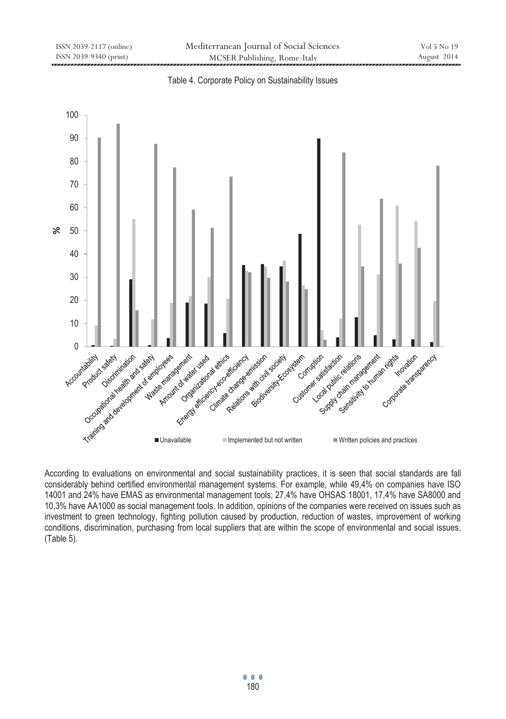



According to evaluations on environmental and social sustainability practices, it is seen that social standards are fall considerably behind certified environmental management systems. For example, while 49,4% on companies have ISO 14001 and 24% have EMAS as environmental management tools; 27,4% have OHSAS 18001, 17,4% have SA8000 and 10,3% have AA1000 as social management tools. In addition, opinions of the companies were received on issues such as investment to green technology, fighting pollution caused by production, reduction of wastes, improvement of working conditions, discrimination, purchasing from local suppliers that are within the scope of environmental and social issues. (Table 5).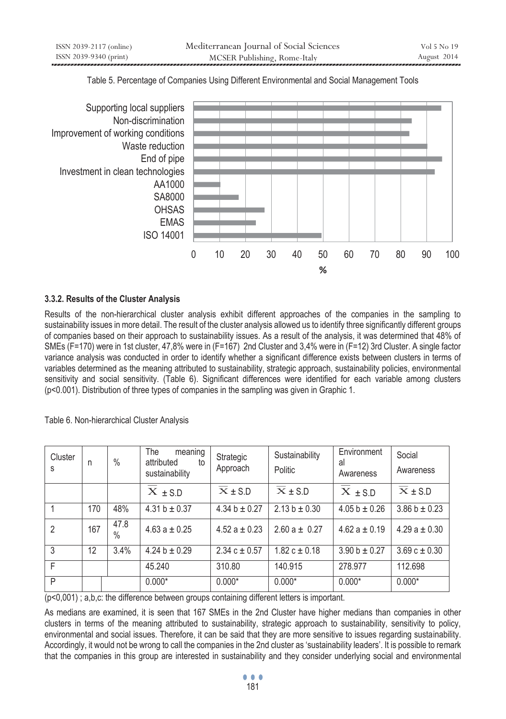### Table 5. Percentage of Companies Using Different Environmental and Social Management Tools



### **3.3.2. Results of the Cluster Analysis**

Results of the non-hierarchical cluster analysis exhibit different approaches of the companies in the sampling to sustainability issues in more detail. The result of the cluster analysis allowed us to identify three significantly different groups of companies based on their approach to sustainability issues. As a result of the analysis, it was determined that 48% of SMEs (F=170) were in 1st cluster, 47,8% were in (F=167) 2nd Cluster and 3,4% were in (F=12) 3rd Cluster. A single factor variance analysis was conducted in order to identify whether a significant difference exists between clusters in terms of variables determined as the meaning attributed to sustainability, strategic approach, sustainability policies, environmental sensitivity and social sensitivity. (Table 6). Significant differences were identified for each variable among clusters (p<0.001). Distribution of three types of companies in the sampling was given in Graphic 1.

Table 6. Non-hierarchical Cluster Analysis

| Cluster<br>s  | n   | $\frac{0}{0}$ | The<br>meaning<br>attributed<br>to<br>sustainability | Strategic<br>Approach | Sustainability<br><b>Politic</b> | Environment<br>al<br>Awareness | Social<br>Awareness |
|---------------|-----|---------------|------------------------------------------------------|-----------------------|----------------------------------|--------------------------------|---------------------|
|               |     |               | $X \pm S.D$                                          | $X + S.D$             | $X \pm S.D$                      | $X \pm S.D$                    | $X \pm S.D$         |
|               | 170 | 48%           | $4.31 b \pm 0.37$                                    | 4.34 b $\pm$ 0.27     | $2.13 b \pm 0.30$                | $4.05 b \pm 0.26$              | $3.86 b \pm 0.23$   |
| $\mathcal{P}$ | 167 | 47.8<br>$\%$  | $4.63 a \pm 0.25$                                    | $4.52 a \pm 0.23$     | $2.60 a \pm 0.27$                | $4.62 a \pm 0.19$              | $4.29a \pm 0.30$    |
| 3             | 12  | 3.4%          | 4.24 b $\pm$ 0.29                                    | 2.34 c $\pm$ 0.57     | $1.82 c \pm 0.18$                | 3.90 b $\pm$ 0.27              | $3.69 c \pm 0.30$   |
| F             |     |               | 45.240                                               | 310.80                | 140.915                          | 278.977                        | 112.698             |
| P             |     |               | $0.000*$                                             | $0.000*$              | $0.000*$                         | $0.000*$                       | $0.000*$            |

 $(p<0.001)$ ; a,b,c: the difference between groups containing different letters is important.

As medians are examined, it is seen that 167 SMEs in the 2nd Cluster have higher medians than companies in other clusters in terms of the meaning attributed to sustainability, strategic approach to sustainability, sensitivity to policy, environmental and social issues. Therefore, it can be said that they are more sensitive to issues regarding sustainability. Accordingly, it would not be wrong to call the companies in the 2nd cluster as 'sustainability leaders'. It is possible to remark that the companies in this group are interested in sustainability and they consider underlying social and environmental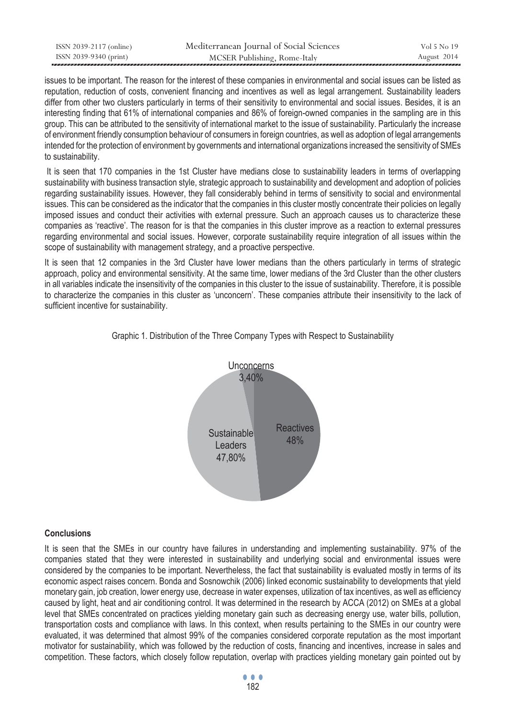| ISSN 2039-2117 (online) | Mediterranean Journal of Social Sciences | Vol 5 No 19 |
|-------------------------|------------------------------------------|-------------|
| ISSN 2039-9340 (print)  | MCSER Publishing, Rome-Italy             | August 2014 |

issues to be important. The reason for the interest of these companies in environmental and social issues can be listed as reputation, reduction of costs, convenient financing and incentives as well as legal arrangement. Sustainability leaders differ from other two clusters particularly in terms of their sensitivity to environmental and social issues. Besides, it is an interesting finding that 61% of international companies and 86% of foreign-owned companies in the sampling are in this group. This can be attributed to the sensitivity of international market to the issue of sustainability. Particularly the increase of environment friendly consumption behaviour of consumers in foreign countries, as well as adoption of legal arrangements intended for the protection of environment by governments and international organizations increased the sensitivity of SMEs to sustainability.

It is seen that 170 companies in the 1st Cluster have medians close to sustainability leaders in terms of overlapping sustainability with business transaction style, strategic approach to sustainability and development and adoption of policies regarding sustainability issues. However, they fall considerably behind in terms of sensitivity to social and environmental issues. This can be considered as the indicator that the companies in this cluster mostly concentrate their policies on legally imposed issues and conduct their activities with external pressure. Such an approach causes us to characterize these companies as 'reactive'. The reason for is that the companies in this cluster improve as a reaction to external pressures regarding environmental and social issues. However, corporate sustainability require integration of all issues within the scope of sustainability with management strategy, and a proactive perspective.

It is seen that 12 companies in the 3rd Cluster have lower medians than the others particularly in terms of strategic approach, policy and environmental sensitivity. At the same time, lower medians of the 3rd Cluster than the other clusters in all variables indicate the insensitivity of the companies in this cluster to the issue of sustainability. Therefore, it is possible to characterize the companies in this cluster as 'unconcern'. These companies attribute their insensitivity to the lack of sufficient incentive for sustainability.



#### Graphic 1. Distribution of the Three Company Types with Respect to Sustainability

#### **Conclusions**

It is seen that the SMEs in our country have failures in understanding and implementing sustainability. 97% of the companies stated that they were interested in sustainability and underlying social and environmental issues were considered by the companies to be important. Nevertheless, the fact that sustainability is evaluated mostly in terms of its economic aspect raises concern. Bonda and Sosnowchik (2006) linked economic sustainability to developments that yield monetary gain, job creation, lower energy use, decrease in water expenses, utilization of tax incentives, as well as efficiency caused by light, heat and air conditioning control. It was determined in the research by ACCA (2012) on SMEs at a global level that SMEs concentrated on practices yielding monetary gain such as decreasing energy use, water bills, pollution, transportation costs and compliance with laws. In this context, when results pertaining to the SMEs in our country were evaluated, it was determined that almost 99% of the companies considered corporate reputation as the most important motivator for sustainability, which was followed by the reduction of costs, financing and incentives, increase in sales and competition. These factors, which closely follow reputation, overlap with practices yielding monetary gain pointed out by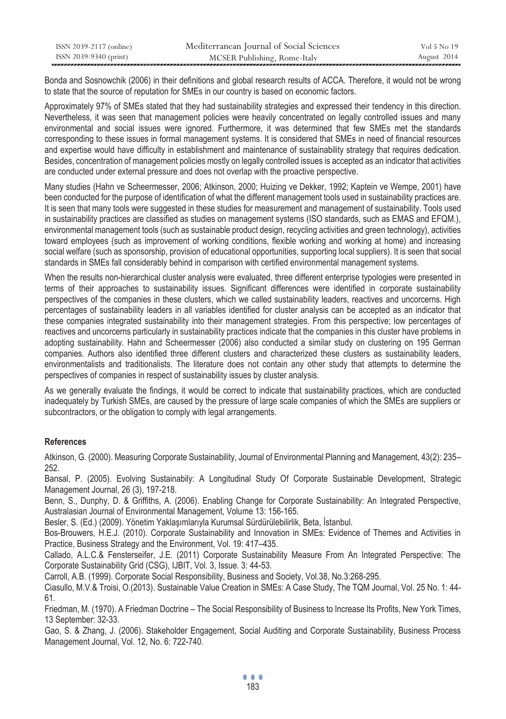| ISSN 2039-2117 (online) | Mediterranean Journal of Social Sciences | Vol 5 No 19 |
|-------------------------|------------------------------------------|-------------|
| ISSN 2039-9340 (print)  | MCSER Publishing, Rome-Italy             | August 2014 |

Bonda and Sosnowchik (2006) in their definitions and global research results of ACCA. Therefore, it would not be wrong to state that the source of reputation for SMEs in our country is based on economic factors.

Approximately 97% of SMEs stated that they had sustainability strategies and expressed their tendency in this direction. Nevertheless, it was seen that management policies were heavily concentrated on legally controlled issues and many environmental and social issues were ignored. Furthermore, it was determined that few SMEs met the standards corresponding to these issues in formal management systems. It is considered that SMEs in need of financial resources and expertise would have difficulty in establishment and maintenance of sustainability strategy that requires dedication. Besides, concentration of management policies mostly on legally controlled issues is accepted as an indicator that activities are conducted under external pressure and does not overlap with the proactive perspective.

Many studies (Hahn ve Scheermesser, 2006; Atkinson, 2000; Huizing ve Dekker, 1992; Kaptein ve Wempe, 2001) have been conducted for the purpose of identification of what the different management tools used in sustainability practices are. It is seen that many tools were suggested in these studies for measurement and management of sustainability. Tools used in sustainability practices are classified as studies on management systems (ISO standards, such as EMAS and EFQM.), environmental management tools (such as sustainable product design, recycling activities and green technology), activities toward employees (such as improvement of working conditions, flexible working and working at home) and increasing social welfare (such as sponsorship, provision of educational opportunities, supporting local suppliers). It is seen that social standards in SMEs fall considerably behind in comparison with certified environmental management systems.

When the results non-hierarchical cluster analysis were evaluated, three different enterprise typologies were presented in terms of their approaches to sustainability issues. Significant differences were identified in corporate sustainability perspectives of the companies in these clusters, which we called sustainability leaders, reactives and uncorcerns. High percentages of sustainability leaders in all variables identified for cluster analysis can be accepted as an indicator that these companies integrated sustainability into their management strategies. From this perspective; low percentages of reactives and uncorcerns particularly in sustainability practices indicate that the companies in this cluster have problems in adopting sustainability. Hahn and Scheermesser (2006) also conducted a similar study on clustering on 195 German companies. Authors also identified three different clusters and characterized these clusters as sustainability leaders, environmentalists and traditionalists. The literature does not contain any other study that attempts to determine the perspectives of companies in respect of sustainability issues by cluster analysis.

As we generally evaluate the findings, it would be correct to indicate that sustainability practices, which are conducted inadequately by Turkish SMEs, are caused by the pressure of large scale companies of which the SMEs are suppliers or subcontractors, or the obligation to comply with legal arrangements.

#### **References**

Atkinson, G. (2000). Measuring Corporate Sustainability, Journal of Environmental Planning and Management, 43(2): 235– 252.

Bansal, P. (2005). Evolving Sustainabily: A Longitudinal Study Of Corporate Sustainable Development, Strategic Management Journal, 26 (3), 197-218.

Benn, S., Dunphy, D. & Griffiths, A. (2006). Enabling Change for Corporate Sustainability: An Integrated Perspective, Australasian Journal of Environmental Management, Volume 13: 156-165.

Besler, S. (Ed.) (2009). Yönetim Yaklaşımlarıyla Kurumsal Sürdürülebilirlik, Beta, İstanbul.

Bos-Brouwers, H.E.J. (2010). Corporate Sustainability and Innovation in SMEs: Evidence of Themes and Activities in Practice, Business Strategy and the Environment, Vol. 19: 417–435.

Callado, A.L.C.& Fensterseifer, J.E. (2011) Corporate Sustainability Measure From An Integrated Perspective: The Corporate Sustainability Grid (CSG), IJBIT, Vol. 3, Issue. 3: 44-53.

Carroll, A.B. (1999). Corporate Social Responsibility, Business and Society, Vol.38, No.3:268-295.

Ciasullo, M.V.& Troisi, O.(2013). Sustainable Value Creation in SMEs: A Case Study, The TQM Journal, Vol. 25 No. 1: 44- 61.

Friedman, M. (1970). A Friedman Doctrine – The Social Responsibility of Business to Increase Its Profits, New York Times, 13 September: 32-33.

Gao, S. & Zhang, J. (2006). Stakeholder Engagement, Social Auditing and Corporate Sustainability, Business Process Management Journal, Vol. 12, No. 6: 722-740.